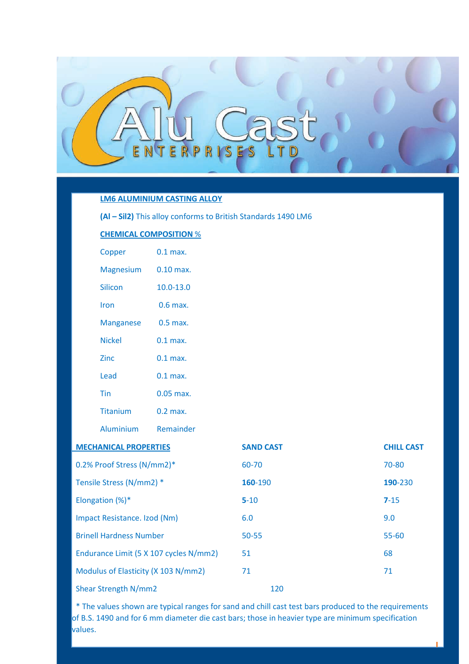

# **LM6 ALUMINIUM CASTING ALLOY**

**(Al – Sil2)** This alloy conforms to British Standards 1490 LM6

# **CHEMICAL COMPOSITION** %

| Copper                       | $0.1$ max.    |  |  |  |
|------------------------------|---------------|--|--|--|
| <b>Magnesium</b>             | $0.10$ max.   |  |  |  |
| <b>Silicon</b>               | $10.0 - 13.0$ |  |  |  |
| Iron                         | $0.6$ max.    |  |  |  |
| <b>Manganese</b>             | $0.5$ max.    |  |  |  |
| <b>Nickel</b>                | $0.1$ max.    |  |  |  |
| <b>Zinc</b>                  | $0.1$ max.    |  |  |  |
| Lead                         | $0.1$ max.    |  |  |  |
| Tin                          | $0.05$ max.   |  |  |  |
| Titanium                     | $0.2$ max.    |  |  |  |
| Aluminium Remainder          |               |  |  |  |
| <b>MECHANICAL PROPERTIES</b> |               |  |  |  |
| 0.2% Proof Stress (N/mm2)*   |               |  |  |  |
| Tensile Stress (N/mm2) *     |               |  |  |  |

Shear Strength N/mm2

| <b>MECHANICAL PROPERTIES</b>           | <b>SAND CAST</b> | <b>CHILL CAST</b> |
|----------------------------------------|------------------|-------------------|
| 0.2% Proof Stress (N/mm2)*             | 60-70            | 70-80             |
| Tensile Stress (N/mm2) *               | 160-190          | 190-230           |
| Elongation $(\%)^*$                    | $5 - 10$         | $7 - 15$          |
| Impact Resistance. Izod (Nm)           | 6.0              | 9.0               |
| <b>Brinell Hardness Number</b>         | $50 - 55$        | 55-60             |
| Endurance Limit (5 X 107 cycles N/mm2) | 51               | 68                |
| Modulus of Elasticity (X 103 N/mm2)    | 71               | 71                |
| Shear Strength N/mm2                   | 120              |                   |

 \* The values shown are typical ranges for sand and chill cast test bars produced to the requirements of B.S. 1490 and for 6 mm diameter die cast bars; those in heavier type are minimum specification values.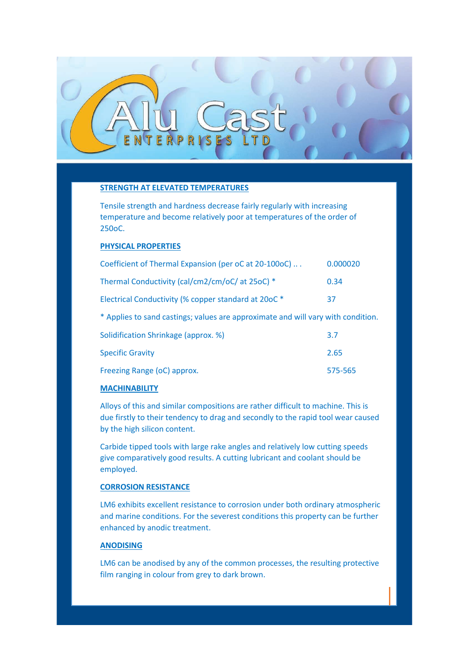# **STRENGTH AT ELEVATED TEMPERATURES**

Tensile strength and hardness decrease fairly regularly with increasing temperature and become relatively poor at temperatures of the order of 250oC.

## **PHYSICAL PROPERTIES**

| Coefficient of Thermal Expansion (per oC at 20-100oC)                            | 0.000020 |
|----------------------------------------------------------------------------------|----------|
| Thermal Conductivity (cal/cm2/cm/oC/ at 25oC) *                                  | 0.34     |
| Electrical Conductivity (% copper standard at 20oC *                             | 37       |
| * Applies to sand castings; values are approximate and will vary with condition. |          |
| Solidification Shrinkage (approx. %)                                             | 3.7      |
| <b>Specific Gravity</b>                                                          | 2.65     |
| Freezing Range (oC) approx.                                                      | 575-565  |

#### **MACHINABILITY**

Alloys of this and similar compositions are rather difficult to machine. This is due firstly to their tendency to drag and secondly to the rapid tool wear caused by the high silicon content.

Carbide tipped tools with large rake angles and relatively low cutting speeds give comparatively good results. A cutting lubricant and coolant should be employed.

## **CORROSION RESISTANCE**

LM6 exhibits excellent resistance to corrosion under both ordinary atmospheric and marine conditions. For the severest conditions this property can be further enhanced by anodic treatment.

# **ANODISING**

LM6 can be anodised by any of the common processes, the resulting protective film ranging in colour from grey to dark brown.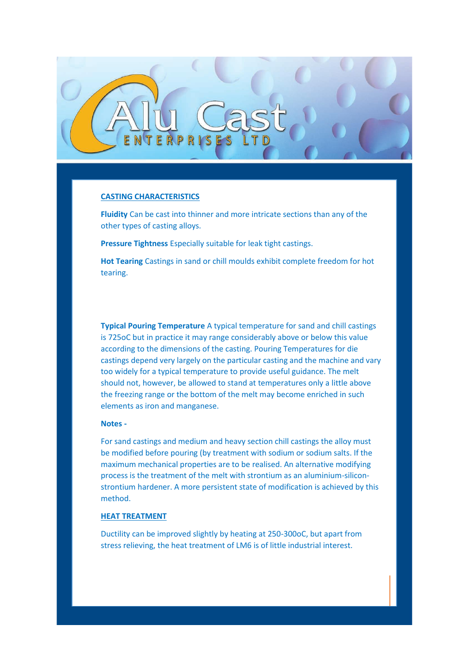

## **CASTING CHARACTERISTICS**

**Fluidity** Can be cast into thinner and more intricate sections than any of the other types of casting alloys.

**Pressure Tightness** Especially suitable for leak tight castings.

**Hot Tearing** Castings in sand or chill moulds exhibit complete freedom for hot tearing.

**Typical Pouring Temperature** A typical temperature for sand and chill castings is 725oC but in practice it may range considerably above or below this value according to the dimensions of the casting. Pouring Temperatures for die castings depend very largely on the particular casting and the machine and vary too widely for a typical temperature to provide useful guidance. The melt should not, however, be allowed to stand at temperatures only a little above the freezing range or the bottom of the melt may become enriched in such elements as iron and manganese.

## **Notes -**

For sand castings and medium and heavy section chill castings the alloy must be modified before pouring (by treatment with sodium or sodium salts. If the maximum mechanical properties are to be realised. An alternative modifying process is the treatment of the melt with strontium as an aluminium-siliconstrontium hardener. A more persistent state of modification is achieved by this method.

# **HEAT TREATMENT**

Ductility can be improved slightly by heating at 250-300oC, but apart from stress relieving, the heat treatment of LM6 is of little industrial interest.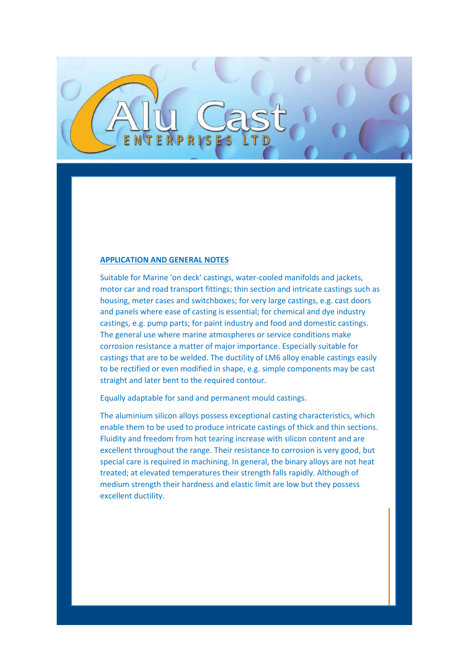## **APPLICATION AND GENERAL NOTES**

Suitable for Marine 'on deck' castings, water-cooled manifolds and jackets, motor car and road transport fittings; thin section and intricate castings such as housing, meter cases and switchboxes; for very large castings, e.g. cast doors and panels where ease of casting is essential; for chemical and dye industry castings, e.g. pump parts; for paint industry and food and domestic castings. The general use where marine atmospheres or service conditions make corrosion resistance a matter of major importance. Especially suitable for castings that are to be welded. The ductility of LM6 alloy enable castings easily to be rectified or even modified in shape, e.g. simple components may be cast straight and later bent to the required contour.

Equally adaptable for sand and permanent mould castings.

The aluminium silicon alloys possess exceptional casting characteristics, which enable them to be used to produce intricate castings of thick and thin sections. Fluidity and freedom from hot tearing increase with silicon content and are excellent throughout the range. Their resistance to corrosion is very good, but special care is required in machining. In general, the binary alloys are not heat treated; at elevated temperatures their strength falls rapidly. Although of medium strength their hardness and elastic limit are low but they possess excellent ductility.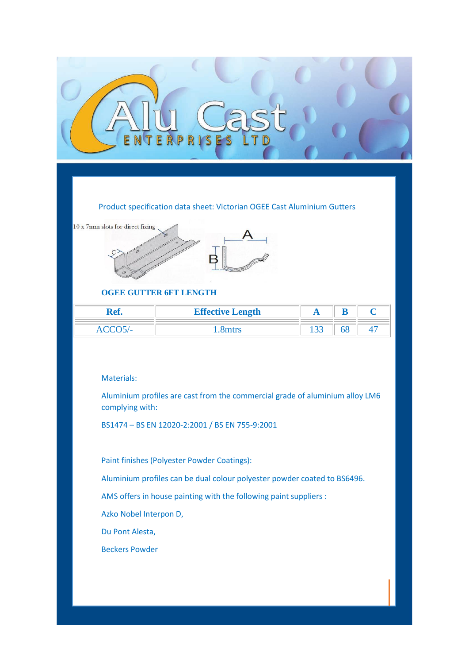# Product specification data sheet: Victorian OGEE Cast Aluminium Gutters



# **OGEE GUTTER 6FT LENGTH**

| Ref. | <b>Effective Length</b> | D |  |
|------|-------------------------|---|--|
|      |                         |   |  |

## Materials:

Aluminium profiles are cast from the commercial grade of aluminium alloy LM6 complying with:

BS1474 – BS EN 12020-2:2001 / BS EN 755-9:2001

Paint finishes (Polyester Powder Coatings):

Aluminium profiles can be dual colour polyester powder coated to BS6496.

AMS offers in house painting with the following paint suppliers :

Azko Nobel Interpon D,

Du Pont Alesta,

Beckers Powder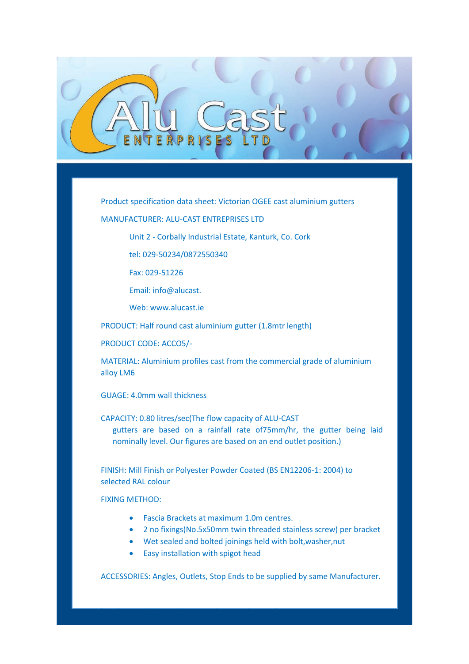

Product specification data sheet: Victorian OGEE cast aluminium gutters

MANUFACTURER: ALU-CAST ENTREPRISES LTD

Unit 2 - Corbally Industrial Estate, Kanturk, Co. Cork

tel: 029-50234/0872550340

Fax: 029-51226

Email: info@alucast.

Web: www.alucast.ie

PRODUCT: Half round cast aluminium gutter (1.8mtr length)

PRODUCT CODE: ACCO5/-

MATERIAL: Aluminium profiles cast from the commercial grade of aluminium alloy LM6

GUAGE: 4.0mm wall thickness

CAPACITY: 0.80 litres/sec(The flow capacity of ALU-CAST

gutters are based on a rainfall rate of75mm/hr, the gutter being laid nominally level. Our figures are based on an end outlet position.)

FINISH: Mill Finish or Polyester Powder Coated (BS EN12206-1: 2004) to selected RAL colour

FIXING METHOD:

Fascia Brackets at maximum 1.0m centres.

 $M$  and the installed strictly installed strictly in accordance with manufacturers instructions instructions in

- 2 no fixings(No.5x50mm twin threaded stainless screw) per bracket
- Wet sealed and bolted joinings held with bolt,washer,nut
- Easy installation with spigot head

ACCESSORIES: Angles, Outlets, Stop Ends to be supplied by same Manufacturer.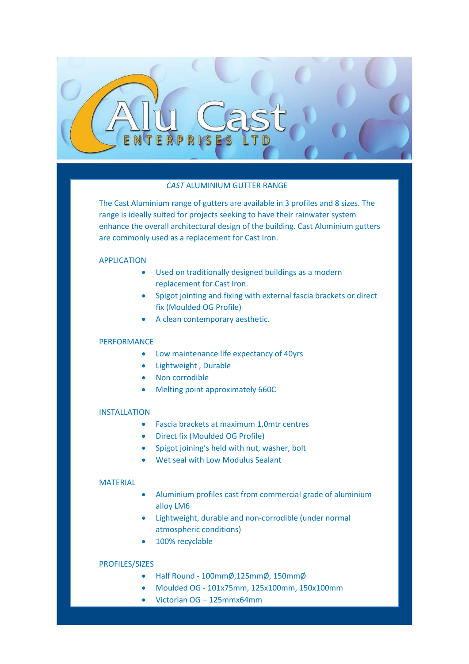

## *CAST* ALUMINIUM GUTTER RANGE

The Cast Aluminium range of gutters are available in 3 profiles and 8 sizes. The range is ideally suited for projects seeking to have their rainwater system enhance the overall architectural design of the building. Cast Aluminium gutters are commonly used as a replacement for Cast Iron.

## APPLICATION

- Used on traditionally designed buildings as a modern replacement for Cast Iron.
- Spigot jointing and fixing with external fascia brackets or direct fix (Moulded OG Profile)
- A clean contemporary aesthetic.

# PERFORMANCE

- Low maintenance life expectancy of 40yrs
- Lightweight , Durable
- Non corrodible
- Melting point approximately 660C

## INSTALLATION

- Fascia brackets at maximum 1.0mtr centres
- Direct fix (Moulded OG Profile)
- Spigot joining's held with nut, washer, bolt
- Wet seal with Low Modulus Sealant

#### MATERIAL

- Aluminium profiles cast from commercial grade of aluminium alloy LM6
- Lightweight, durable and non-corrodible (under normal atmospheric conditions)
- 100% recyclable

## PROFILES/SIZES

FINISHES

- Half Round 100mmØ,125mmØ, 150mmØ
- Moulded OG 101x75mm, 125x100mm, 150x100mm
- Victorian OG 125mmx64mm